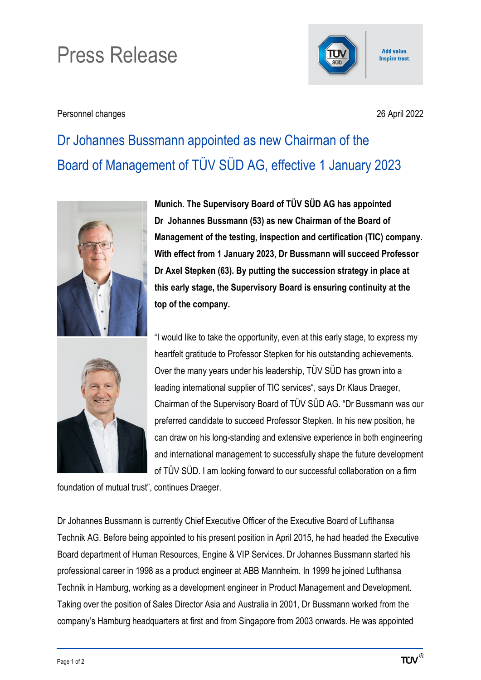## Press Release



Personnel changes 26 April 2022

Add value. **Inspire trust.** 

## Dr Johannes Bussmann appointed as new Chairman of the Board of Management of TÜV SÜD AG, effective 1 January 2023



**Munich. The Supervisory Board of TÜV SÜD AG has appointed Dr Johannes Bussmann (53) as new Chairman of the Board of Management of the testing, inspection and certification (TIC) company. With effect from 1 January 2023, Dr Bussmann will succeed Professor Dr Axel Stepken (63). By putting the succession strategy in place at this early stage, the Supervisory Board is ensuring continuity at the top of the company.**

"I would like to take the opportunity, even at this early stage, to express my heartfelt gratitude to Professor Stepken for his outstanding achievements. Over the many years under his leadership, TÜV SÜD has grown into a leading international supplier of TIC services", says Dr Klaus Draeger, Chairman of the Supervisory Board of TÜV SÜD AG. "Dr Bussmann was our preferred candidate to succeed Professor Stepken. In his new position, he can draw on his long-standing and extensive experience in both engineering and international management to successfully shape the future development of TÜV SÜD. I am looking forward to our successful collaboration on a firm

foundation of mutual trust", continues Draeger.

Dr Johannes Bussmann is currently Chief Executive Officer of the Executive Board of Lufthansa Technik AG. Before being appointed to his present position in April 2015, he had headed the Executive Board department of Human Resources, Engine & VIP Services. Dr Johannes Bussmann started his professional career in 1998 as a product engineer at ABB Mannheim. In 1999 he joined Lufthansa Technik in Hamburg, working as a development engineer in Product Management and Development. Taking over the position of Sales Director Asia and Australia in 2001, Dr Bussmann worked from the company's Hamburg headquarters at first and from Singapore from 2003 onwards. He was appointed